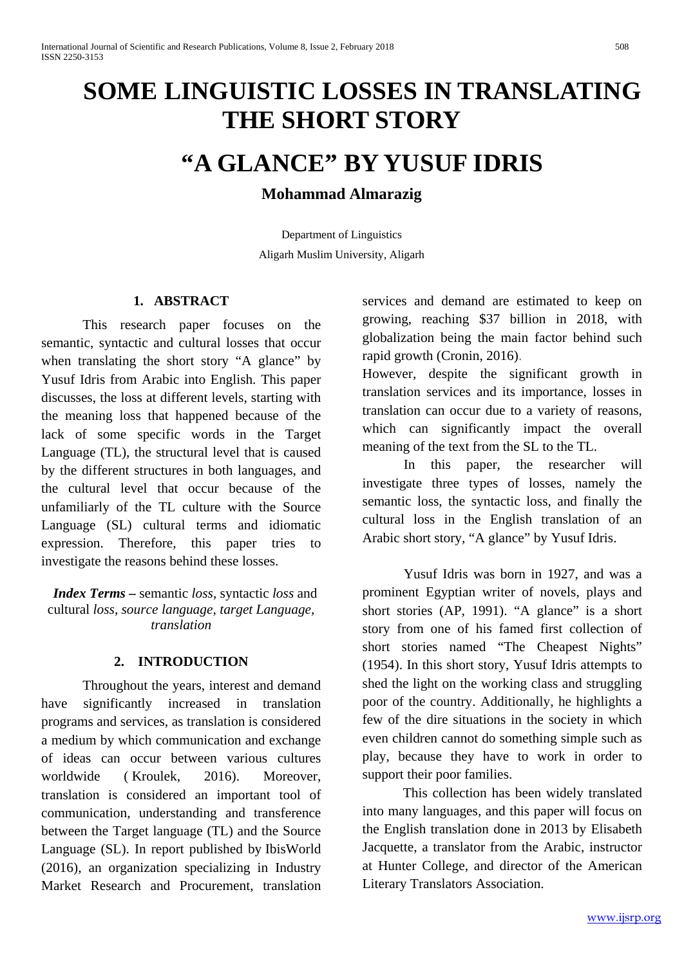# **SOME LINGUISTIC LOSSES IN TRANSLATING THE SHORT STORY**

# **"A GLANCE" BY YUSUF IDRIS**

# **Mohammad Almarazig**

Department of Linguistics Aligarh Muslim University, Aligarh

## **1. ABSTRACT**

This research paper focuses on the semantic, syntactic and cultural losses that occur when translating the short story "A glance" by Yusuf Idris from Arabic into English. This paper discusses, the loss at different levels, starting with the meaning loss that happened because of the lack of some specific words in the Target Language (TL), the structural level that is caused by the different structures in both languages, and the cultural level that occur because of the unfamiliarly of the TL culture with the Source Language (SL) cultural terms and idiomatic expression. Therefore, this paper tries to investigate the reasons behind these losses.

*Index Terms –* semantic *loss*, syntactic *loss* and cultural *loss, source language, target Language, translation* 

### **2. INTRODUCTION**

Throughout the years, interest and demand have significantly increased in translation programs and services, as translation is considered a medium by which communication and exchange of ideas can occur between various cultures worldwide ([Kroulek,](http://www.k-international.com/blog/author/alison-kroulek/) 2016). Moreover, translation is considered an important tool of communication, understanding and transference between the Target language (TL) and the Source Language (SL). In report published by [IbisWorld](http://www.ibisworld.com/industry/default.aspx?indid=1446) (2016), an organization specializing in Industry Market Research and Procurement, translation services and demand are estimated to keep on growing, reaching \$37 billion in 2018, with globalization being the main factor behind such rapid growth [\(Cronin,](https://www.google.co.uk/search?q=Michael+Cronin&stick=H4sIAAAAAAAAAOPgE-LVT9c3NEw2Nc4qMTHLUeLUz9U3SDMqTkvWkslOttJPys_P1i8vyiwpSc2LL88vyrZKLC3JyC8CAL9q4WM6AAAA&sa=X&ved=0ahUKEwj0nJyvtcbYAhWqAMAKHXlEArcQmxMIpQEoATAT) 2016).

However, despite the significant growth in translation services and its importance, losses in translation can occur due to a variety of reasons, which can significantly impact the overall meaning of the text from the SL to the TL.

In this paper, the researcher will investigate three types of losses, namely the semantic loss, the syntactic loss, and finally the cultural loss in the English translation of an Arabic short story, "A glance" by Yusuf Idris.

Yusuf Idris was born in 1927, and was a prominent Egyptian writer of novels, plays and short stories (AP, 1991). "A glance" is a short story from one of his famed first collection of short stories named "The Cheapest Nights" (1954). In this short story, Yusuf Idris attempts to shed the light on the working class and struggling poor of the country. Additionally, he highlights a few of the dire situations in the society in which even children cannot do something simple such as play, because they have to work in order to support their poor families.

This collection has been widely translated into many languages, and this paper will focus on the English translation done in 2013 by Elisabeth Jacquette, a translator from the Arabic, instructor at Hunter College, and director of the American Literary Translators Association.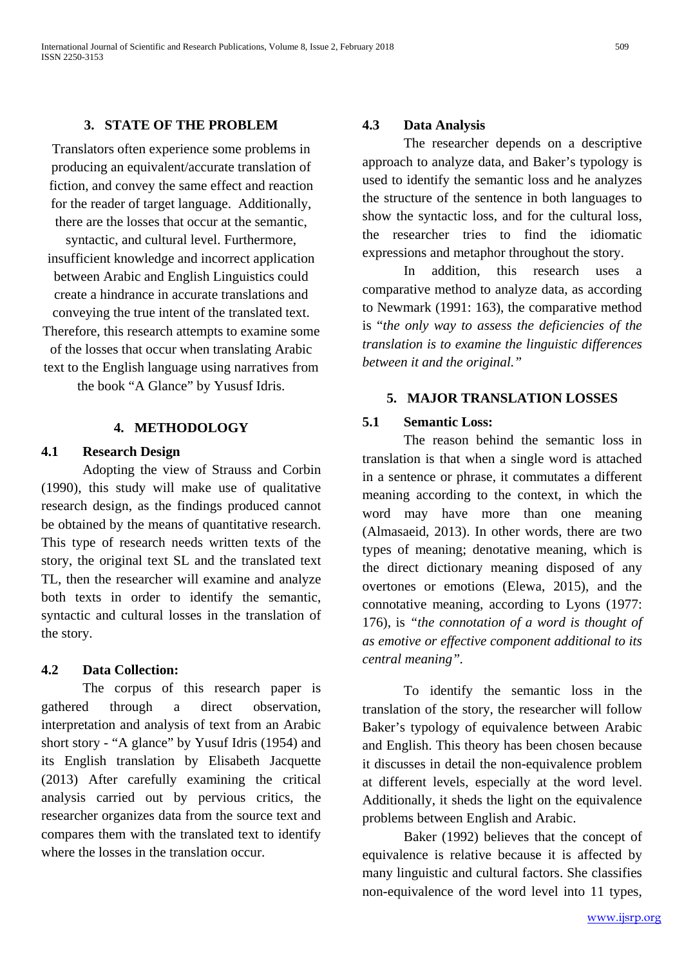#### **3. STATE OF THE PROBLEM**

Translators often experience some problems in producing an equivalent/accurate translation of fiction, and convey the same effect and reaction for the reader of target language. Additionally, there are the losses that occur at the semantic,

syntactic, and cultural level. Furthermore, insufficient knowledge and incorrect application between Arabic and English Linguistics could create a hindrance in accurate translations and conveying the true intent of the translated text. Therefore, this research attempts to examine some of the losses that occur when translating Arabic text to the English language using narratives from the book "A Glance" by Yususf Idris.

#### **4. METHODOLOGY**

#### **4.1 Research Design**

Adopting the view of Strauss and Corbin (1990), this study will make use of qualitative research design, as the findings produced cannot be obtained by the means of quantitative research. This type of research needs written texts of the story, the original text SL and the translated text TL, then the researcher will examine and analyze both texts in order to identify the semantic, syntactic and cultural losses in the translation of the story.

#### **4.2 Data Collection:**

The corpus of this research paper is gathered through a direct observation, interpretation and analysis of text from an Arabic short story - "A glance" by Yusuf Idris (1954) and its English translation by Elisabeth Jacquette (2013) After carefully examining the critical analysis carried out by pervious critics, the researcher organizes data from the source text and compares them with the translated text to identify where the losses in the translation occur.

#### **4.3 Data Analysis**

The researcher depends on a descriptive approach to analyze data, and Baker's typology is used to identify the semantic loss and he analyzes the structure of the sentence in both languages to show the syntactic loss, and for the cultural loss, the researcher tries to find the idiomatic expressions and metaphor throughout the story.

In addition, this research uses a comparative method to analyze data, as according to Newmark (1991: 163), the comparative method is "*the only way to assess the deficiencies of the translation is to examine the linguistic differences between it and the original."*

#### **5. MAJOR TRANSLATION LOSSES**

#### **5.1 Semantic Loss:**

The reason behind the semantic loss in translation is that when a single word is attached in a sentence or phrase, it commutates a different meaning according to the context, in which the word may have more than one meaning (Almasaeid, 2013). In other words, there are two types of meaning; denotative meaning, which is the direct dictionary meaning disposed of any overtones or emotions (Elewa, 2015), and the connotative meaning, according to Lyons (1977: 176), is *"the connotation of a word is thought of as emotive or effective component additional to its central meaning".*

To identify the semantic loss in the translation of the story, the researcher will follow Baker's typology of equivalence between Arabic and English. This theory has been chosen because it discusses in detail the non-equivalence problem at different levels, especially at the word level. Additionally, it sheds the light on the equivalence problems between English and Arabic.

Baker (1992) believes that the concept of equivalence is relative because it is affected by many linguistic and cultural factors. She classifies non-equivalence of the word level into 11 types,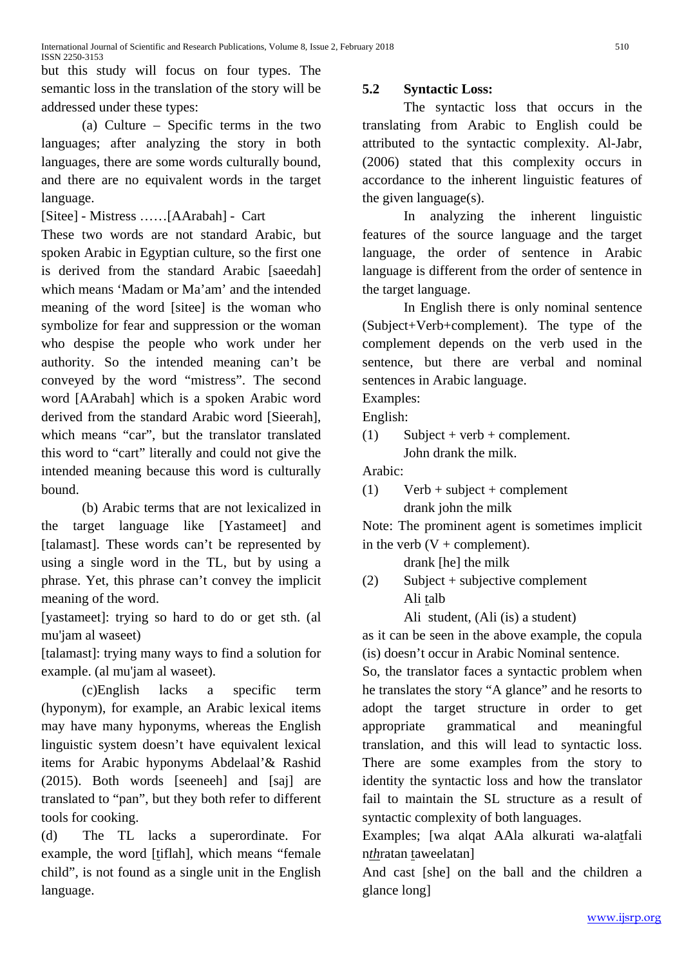but this study will focus on four types. The semantic loss in the translation of the story will be addressed under these types:

(a) Culture – Specific terms in the two languages; after analyzing the story in both languages, there are some words culturally bound, and there are no equivalent words in the target language.

[Sitee] - Mistress ……[AArabah] - Cart

These two words are not standard Arabic, but spoken Arabic in Egyptian culture, so the first one is derived from the standard Arabic [saeedah] which means 'Madam or Ma'am' and the intended meaning of the word [sitee] is the woman who symbolize for fear and suppression or the woman who despise the people who work under her authority. So the intended meaning can't be conveyed by the word "mistress". The second word [AArabah] which is a spoken Arabic word derived from the standard Arabic word [Sieerah], which means "car", but the translator translated this word to "cart" literally and could not give the intended meaning because this word is culturally bound.

(b) Arabic terms that are not lexicalized in the target language like [Yastameet] and [talamast]. These words can't be represented by using a single word in the TL, but by using a phrase. Yet, this phrase can't convey the implicit meaning of the word.

[yastameet]: trying so hard to do or get sth. (al mu'jam al waseet)

[talamast]: trying many ways to find a solution for example. (al mu'jam al waseet).

(c)English lacks a specific term (hyponym), for example, an Arabic lexical items may have many hyponyms, whereas the English linguistic system doesn't have equivalent lexical items for Arabic hyponyms Abdelaal'& Rashid (2015). Both words [seeneeh] and [saj] are translated to "pan", but they both refer to different tools for cooking.

(d) The TL lacks a superordinate. For example, the word [tiflah], which means "female child", is not found as a single unit in the English language.

# **5.2 Syntactic Loss:**

The syntactic loss that occurs in the translating from Arabic to English could be attributed to the syntactic complexity. Al-Jabr, (2006) stated that this complexity occurs in accordance to the inherent linguistic features of the given language(s).

In analyzing the inherent linguistic features of the source language and the target language, the order of sentence in Arabic language is different from the order of sentence in the target language.

In English there is only nominal sentence (Subject+Verb+complement). The type of the complement depends on the verb used in the sentence, but there are verbal and nominal sentences in Arabic language.

Examples:

English:

 $(1)$  Subject + verb + complement. John drank the milk.

Arabic:

 $(1)$  Verb + subject + complement drank john the milk

Note: The prominent agent is sometimes implicit in the verb  $(V + complement)$ .

drank [he] the milk

(2) Subject + subjective complement Ali talb

Ali student, (Ali (is) a student)

as it can be seen in the above example, the copula (is) doesn't occur in Arabic Nominal sentence.

So, the translator faces a syntactic problem when he translates the story "A glance" and he resorts to adopt the target structure in order to get appropriate grammatical and meaningful translation, and this will lead to syntactic loss. There are some examples from the story to identity the syntactic loss and how the translator fail to maintain the SL structure as a result of syntactic complexity of both languages.

Examples; [wa alqat AAla alkurati wa-alatfali n*th*ratan taweelatan]

And cast [she] on the ball and the children a glance long]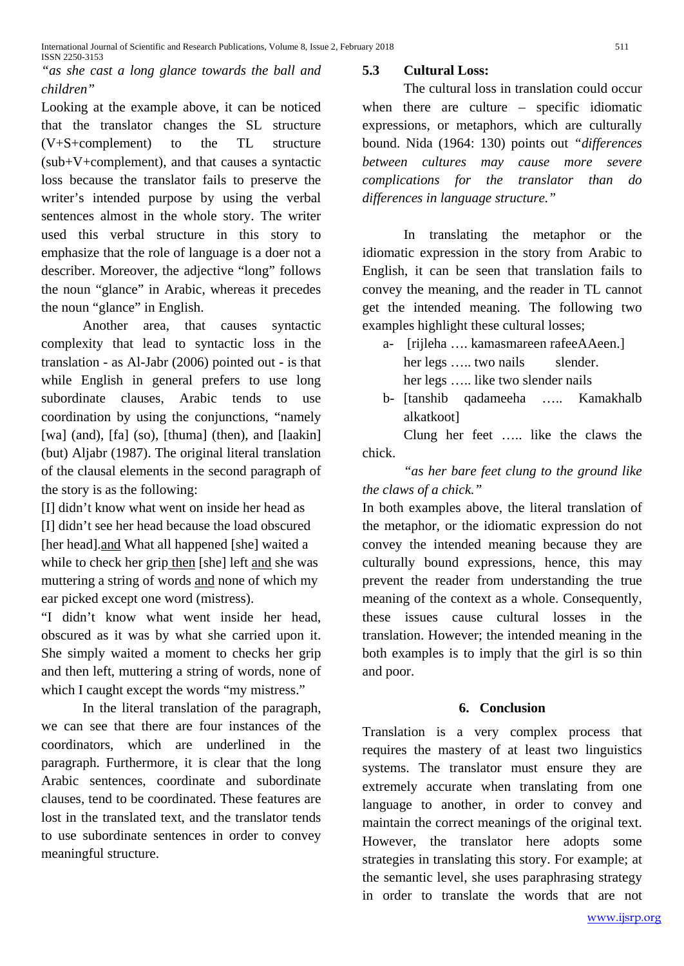# *"as she cast a long glance towards the ball and children"*

Looking at the example above, it can be noticed that the translator changes the SL structure (V+S+complement) to the TL structure (sub+V+complement), and that causes a syntactic loss because the translator fails to preserve the writer's intended purpose by using the verbal sentences almost in the whole story. The writer used this verbal structure in this story to emphasize that the role of language is a doer not a describer. Moreover, the adjective "long" follows the noun "glance" in Arabic, whereas it precedes the noun "glance" in English.

Another area, that causes syntactic complexity that lead to syntactic loss in the translation - as Al-Jabr (2006) pointed out - is that while English in general prefers to use long subordinate clauses, Arabic tends to use coordination by using the conjunctions, "namely [wa] (and), [fa] (so), [thuma] (then), and [laakin] (but) Aljabr (1987). The original literal translation of the clausal elements in the second paragraph of the story is as the following:

[I] didn't know what went on inside her head as [I] didn't see her head because the load obscured [her head].and What all happened [she] waited a while to check her grip then [she] left and she was muttering a string of words and none of which my ear picked except one word (mistress).

"I didn't know what went inside her head, obscured as it was by what she carried upon it. She simply waited a moment to checks her grip and then left, muttering a string of words, none of which I caught except the words "my mistress."

In the literal translation of the paragraph, we can see that there are four instances of the coordinators, which are underlined in the paragraph. Furthermore, it is clear that the long Arabic sentences, coordinate and subordinate clauses, tend to be coordinated. These features are lost in the translated text, and the translator tends to use subordinate sentences in order to convey meaningful structure.

#### **5.3 Cultural Loss:**

The cultural loss in translation could occur when there are culture – specific idiomatic expressions, or metaphors, which are culturally bound. Nida (1964: 130) points out *"differences between cultures may cause more severe complications for the translator than do differences in language structure."*

In translating the metaphor or the idiomatic expression in the story from Arabic to English, it can be seen that translation fails to convey the meaning, and the reader in TL cannot get the intended meaning. The following two examples highlight these cultural losses;

- a- [rijleha …. kamasmareen rafeeAAeen.] her legs ..... two nails slender. her legs ….. like two slender nails
- b- [tanshib qadameeha ….. Kamakhalb alkatkoot]

Clung her feet ….. like the claws the chick.

*"as her bare feet clung to the ground like the claws of a chick."*

In both examples above, the literal translation of the metaphor, or the idiomatic expression do not convey the intended meaning because they are culturally bound expressions, hence, this may prevent the reader from understanding the true meaning of the context as a whole. Consequently, these issues cause cultural losses in the translation. However; the intended meaning in the both examples is to imply that the girl is so thin and poor.

#### **6. Conclusion**

Translation is a very complex process that requires the mastery of at least two linguistics systems. The translator must ensure they are extremely accurate when translating from one language to another, in order to convey and maintain the correct meanings of the original text. However, the translator here adopts some strategies in translating this story. For example; at the semantic level, she uses paraphrasing strategy in order to translate the words that are not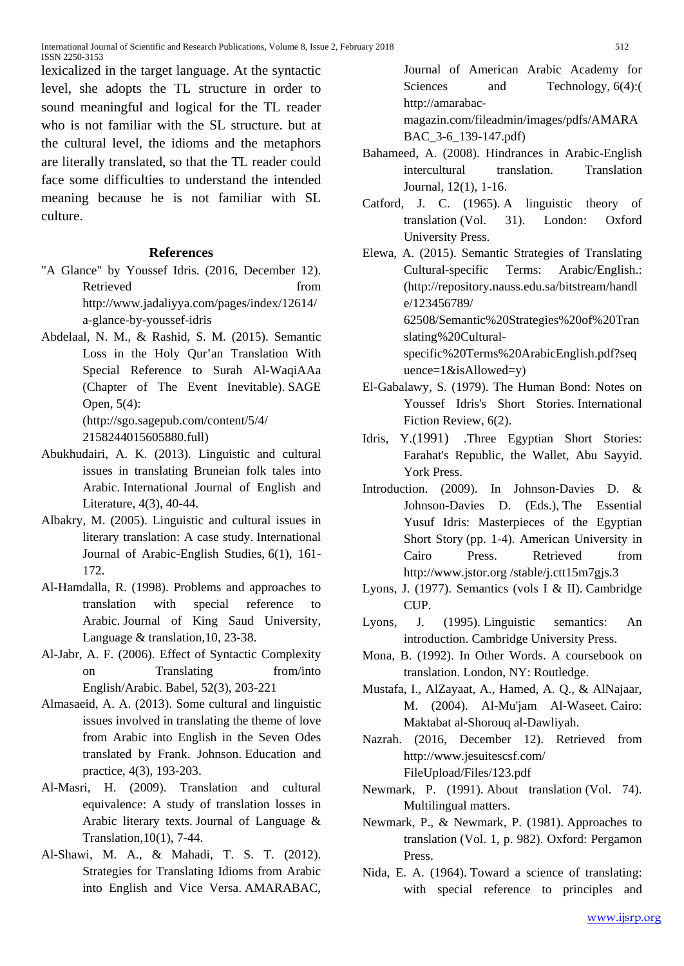lexicalized in the target language. At the syntactic level, she adopts the TL structure in order to sound meaningful and logical for the TL reader who is not familiar with the SL structure. but at the cultural level, the idioms and the metaphors are literally translated, so that the TL reader could face some difficulties to understand the intended meaning because he is not familiar with SL culture.

#### **References**

- ["A Glance" by Youssef Idris.](http://www.jadaliyya.com/pages/index/12614/a-glance-by-youssef-idris) (2016, December 12). Retrieved from the settlement of the settlement of the settlement of the settlement of the settlement of the settlement of the settlement of the settlement of the settlement of the settlement of the settlement of the settl http://www.jadaliyya.com/pages/index/12614/ a-glance-by-youssef-idris
- Abdelaal, N. M., & Rashid, S. M. (2015). Semantic Loss in the Holy Qur'an Translation With Special Reference to Surah Al-WaqiAAa (Chapter of The Event Inevitable). SAGE Open, 5(4): (http://sgo.sagepub.com/content/5/4/
	- 2158244015605880.full)
- Abukhudairi, A. K. (2013). Linguistic and cultural issues in translating Bruneian folk tales into Arabic. International Journal of English and Literature, 4(3), 40-44.
- Albakry, M. (2005). Linguistic and cultural issues in literary translation: A case study. International Journal of Arabic-English Studies, 6(1), 161- 172.
- Al-Hamdalla, R. (1998). Problems and approaches to translation with special reference to Arabic. Journal of King Saud University, Language & translation,10, 23-38.
- Al-Jabr, A. F. (2006). Effect of Syntactic Complexity on Translating from/into English/Arabic. Babel, 52(3), 203-221
- Almasaeid, A. A. (2013). Some cultural and linguistic issues involved in translating the theme of love from Arabic into English in the Seven Odes translated by Frank. Johnson. Education and practice, 4(3), 193-203.
- Al-Masri, H. (2009). Translation and cultural equivalence: A study of translation losses in Arabic literary texts. Journal of Language & Translation,10(1), 7-44.
- Al-Shawi, M. A., & Mahadi, T. S. T. (2012). Strategies for Translating Idioms from Arabic into English and Vice Versa. AMARABAC,

Journal of American Arabic Academy for Sciences and Technology, 6(4): http://amarabac-

magazin.com/fileadmin/images/pdfs/AMARA BAC\_3-6\_139-147.pdf)

- Bahameed, A. (2008). Hindrances in Arabic-English intercultural translation. Translation Journal, 12(1), 1-16.
- Catford, J. C. (1965). A linguistic theory of translation (Vol. 31). London: Oxford University Press.

Elewa, A. (2015). Semantic Strategies of Translating Cultural-specific Terms: Arabic/English.: (http://repository.nauss.edu.sa/bitstream/handl e/123456789/ 62508/Semantic%20Strategies%20of%20Tran slating%20Culturalspecific%20Terms%20ArabicEnglish.pdf?seq

uence=1&isAllowed=y)

- El-Gabalawy, S. (1979). The Human Bond: Notes on Youssef Idris's Short Stories. International Fiction Review, 6(2).
- Idris, Y.(1991) .Three Egyptian Short Stories: Farahat's Republic, the Wallet, Abu Sayyid. York Press.
- Introduction. (2009). In Johnson-Davies D. & Johnson-Davies D. (Eds.), The Essential Yusuf Idris: Masterpieces of the Egyptian Short Story (pp. 1-4). American University in Cairo Press. Retrieved from http://www.jstor.org /stable/j.ctt15m7gjs.3
- Lyons, J. (1977). Semantics (vols I & II). Cambridge CUP.
- Lyons, J. (1995). Linguistic semantics: An introduction. Cambridge University Press.
- Mona, B. (1992). In Other Words. A coursebook on translation. London, NY: Routledge.
- Mustafa, I., AlZayaat, A., Hamed, A. Q., & AlNajaar, M. (2004). Al-Mu'jam Al-Waseet. Cairo: Maktabat al-Shorouq al-Dawliyah.
- Nazrah. (2016, December 12). Retrieved from [http://www.jesuitescsf.com/](http://www.jesuitescsf.com/FileUpload/Files/123.pdf)  [FileUpload/Files/123.pdf](http://www.jesuitescsf.com/FileUpload/Files/123.pdf)
- Newmark, P. (1991). About translation (Vol. 74). Multilingual matters.
- Newmark, P., & Newmark, P. (1981). Approaches to translation (Vol. 1, p. 982). Oxford: Pergamon Press.
- Nida, E. A. (1964). Toward a science of translating: with special reference to principles and